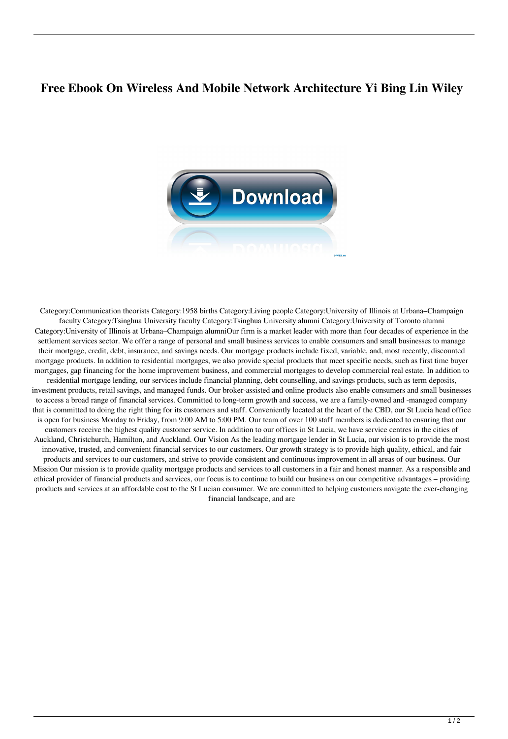## **Free Ebook On Wireless And Mobile Network Architecture Yi Bing Lin Wiley**



Category:Communication theorists Category:1958 births Category:Living people Category:University of Illinois at Urbana–Champaign faculty Category:Tsinghua University faculty Category:Tsinghua University alumni Category:University of Toronto alumni Category:University of Illinois at Urbana–Champaign alumniOur firm is a market leader with more than four decades of experience in the settlement services sector. We offer a range of personal and small business services to enable consumers and small businesses to manage their mortgage, credit, debt, insurance, and savings needs. Our mortgage products include fixed, variable, and, most recently, discounted mortgage products. In addition to residential mortgages, we also provide special products that meet specific needs, such as first time buyer mortgages, gap financing for the home improvement business, and commercial mortgages to develop commercial real estate. In addition to residential mortgage lending, our services include financial planning, debt counselling, and savings products, such as term deposits, investment products, retail savings, and managed funds. Our broker-assisted and online products also enable consumers and small businesses to access a broad range of financial services. Committed to long-term growth and success, we are a family-owned and -managed company that is committed to doing the right thing for its customers and staff. Conveniently located at the heart of the CBD, our St Lucia head office is open for business Monday to Friday, from 9:00 AM to 5:00 PM. Our team of over 100 staff members is dedicated to ensuring that our customers receive the highest quality customer service. In addition to our offices in St Lucia, we have service centres in the cities of Auckland, Christchurch, Hamilton, and Auckland. Our Vision As the leading mortgage lender in St Lucia, our vision is to provide the most innovative, trusted, and convenient financial services to our customers. Our growth strategy is to provide high quality, ethical, and fair products and services to our customers, and strive to provide consistent and continuous improvement in all areas of our business. Our Mission Our mission is to provide quality mortgage products and services to all customers in a fair and honest manner. As a responsible and ethical provider of financial products and services, our focus is to continue to build our business on our competitive advantages – providing products and services at an affordable cost to the St Lucian consumer. We are committed to helping customers navigate the ever-changing financial landscape, and are